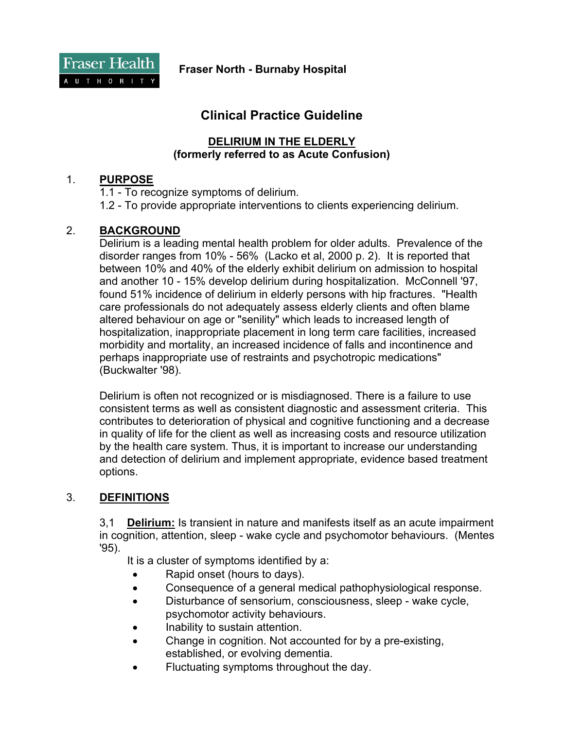Fraser Health A U T H O R I T Y

**Fraser North - Burnaby Hospital** 

# **Clinical Practice Guideline**

#### **DELIRIUM IN THE ELDERLY (formerly referred to as Acute Confusion)**

#### 1. **PURPOSE**

1.1 - To recognize symptoms of delirium.

1.2 - To provide appropriate interventions to clients experiencing delirium.

#### 2. **BACKGROUND**

Delirium is a leading mental health problem for older adults. Prevalence of the disorder ranges from 10% - 56% (Lacko et al, 2000 p. 2). It is reported that between 10% and 40% of the elderly exhibit delirium on admission to hospital and another 10 - 15% develop delirium during hospitalization. McConnell '97, found 51% incidence of delirium in elderly persons with hip fractures. "Health care professionals do not adequately assess elderly clients and often blame altered behaviour on age or "senility" which leads to increased length of hospitalization, inappropriate placement in long term care facilities, increased morbidity and mortality, an increased incidence of falls and incontinence and perhaps inappropriate use of restraints and psychotropic medications" (Buckwalter '98).

Delirium is often not recognized or is misdiagnosed. There is a failure to use consistent terms as well as consistent diagnostic and assessment criteria. This contributes to deterioration of physical and cognitive functioning and a decrease in quality of life for the client as well as increasing costs and resource utilization by the health care system. Thus, it is important to increase our understanding and detection of delirium and implement appropriate, evidence based treatment options.

## 3. **DEFINITIONS**

3,1 **Delirium:** Is transient in nature and manifests itself as an acute impairment in cognition, attention, sleep - wake cycle and psychomotor behaviours. (Mentes '95).

It is a cluster of symptoms identified by a:

- Rapid onset (hours to days).
- Consequence of a general medical pathophysiological response.
- Disturbance of sensorium, consciousness, sleep wake cycle, psychomotor activity behaviours.
- Inability to sustain attention.
- Change in cognition. Not accounted for by a pre-existing, established, or evolving dementia.
- Fluctuating symptoms throughout the day.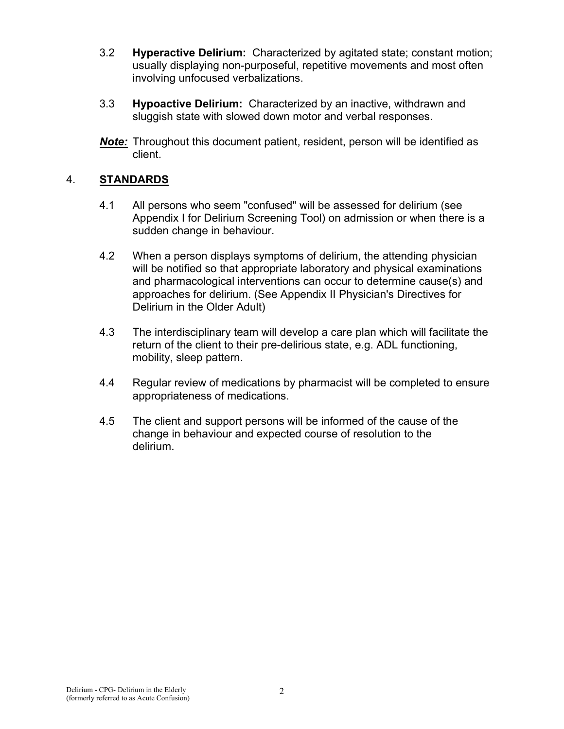- 3.2 **Hyperactive Delirium:** Characterized by agitated state; constant motion; usually displaying non-purposeful, repetitive movements and most often involving unfocused verbalizations.
- 3.3 **Hypoactive Delirium:** Characterized by an inactive, withdrawn and sluggish state with slowed down motor and verbal responses.
- *Note:* Throughout this document patient, resident, person will be identified as client.

## 4. **STANDARDS**

- 4.1 All persons who seem "confused" will be assessed for delirium (see Appendix I for Delirium Screening Tool) on admission or when there is a sudden change in behaviour.
- 4.2 When a person displays symptoms of delirium, the attending physician will be notified so that appropriate laboratory and physical examinations and pharmacological interventions can occur to determine cause(s) and approaches for delirium. (See Appendix II Physician's Directives for Delirium in the Older Adult)
- 4.3 The interdisciplinary team will develop a care plan which will facilitate the return of the client to their pre-delirious state, e.g. ADL functioning, mobility, sleep pattern.
- 4.4 Regular review of medications by pharmacist will be completed to ensure appropriateness of medications.
- 4.5 The client and support persons will be informed of the cause of the change in behaviour and expected course of resolution to the delirium.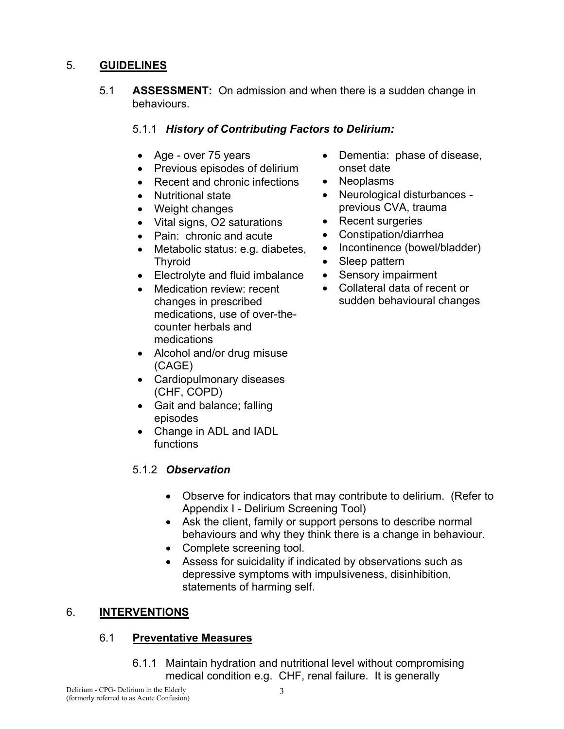## 5. **GUIDELINES**

5.1 **ASSESSMENT:** On admission and when there is a sudden change in behaviours.

## 5.1.1 *History of Contributing Factors to Delirium:*

- Age over 75 years
- Previous episodes of delirium
- Recent and chronic infections
- Nutritional state
- Weight changes
- Vital signs, O2 saturations
- Pain: chronic and acute
- Metabolic status: e.g. diabetes, Thyroid
- Electrolyte and fluid imbalance
- Medication review: recent changes in prescribed medications, use of over-thecounter herbals and medications
- Alcohol and/or drug misuse (CAGE)
- Cardiopulmonary diseases (CHF, COPD)
- Gait and balance; falling episodes
- Change in ADL and IADL functions

## 5.1.2 *Observation*

- Dementia: phase of disease, onset date
- Neoplasms
- Neurological disturbances previous CVA, trauma
- Recent surgeries
- Constipation/diarrhea
- Incontinence (bowel/bladder)
- Sleep pattern
- Sensory impairment
- Collateral data of recent or sudden behavioural changes

- Observe for indicators that may contribute to delirium. (Refer to Appendix I - Delirium Screening Tool)
- Ask the client, family or support persons to describe normal behaviours and why they think there is a change in behaviour.
- Complete screening tool.
- Assess for suicidality if indicated by observations such as depressive symptoms with impulsiveness, disinhibition, statements of harming self.

## 6. **INTERVENTIONS**

## 6.1 **Preventative Measures**

6.1.1 Maintain hydration and nutritional level without compromising medical condition e.g. CHF, renal failure. It is generally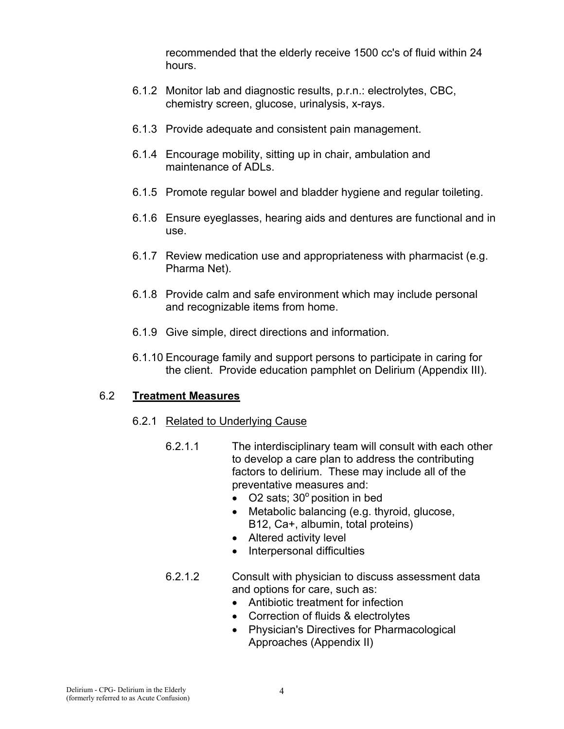recommended that the elderly receive 1500 cc's of fluid within 24 hours.

- 6.1.2 Monitor lab and diagnostic results, p.r.n.: electrolytes, CBC, chemistry screen, glucose, urinalysis, x-rays.
- 6.1.3 Provide adequate and consistent pain management.
- 6.1.4 Encourage mobility, sitting up in chair, ambulation and maintenance of ADLs.
- 6.1.5 Promote regular bowel and bladder hygiene and regular toileting.
- 6.1.6 Ensure eyeglasses, hearing aids and dentures are functional and in use.
- 6.1.7 Review medication use and appropriateness with pharmacist (e.g. Pharma Net).
- 6.1.8 Provide calm and safe environment which may include personal and recognizable items from home.
- 6.1.9 Give simple, direct directions and information.
- 6.1.10 Encourage family and support persons to participate in caring for the client. Provide education pamphlet on Delirium (Appendix III).

## 6.2 **Treatment Measures**

- 6.2.1 Related to Underlying Cause
	- 6.2.1.1 The interdisciplinary team will consult with each other to develop a care plan to address the contributing factors to delirium. These may include all of the preventative measures and:
		- O2 sats;  $30^\circ$  position in bed
		- Metabolic balancing (e.g. thyroid, glucose, B12, Ca+, albumin, total proteins)
		- Altered activity level
		- Interpersonal difficulties
	- 6.2.1.2 Consult with physician to discuss assessment data and options for care, such as:
		- Antibiotic treatment for infection
		- Correction of fluids & electrolytes
		- Physician's Directives for Pharmacological Approaches (Appendix II)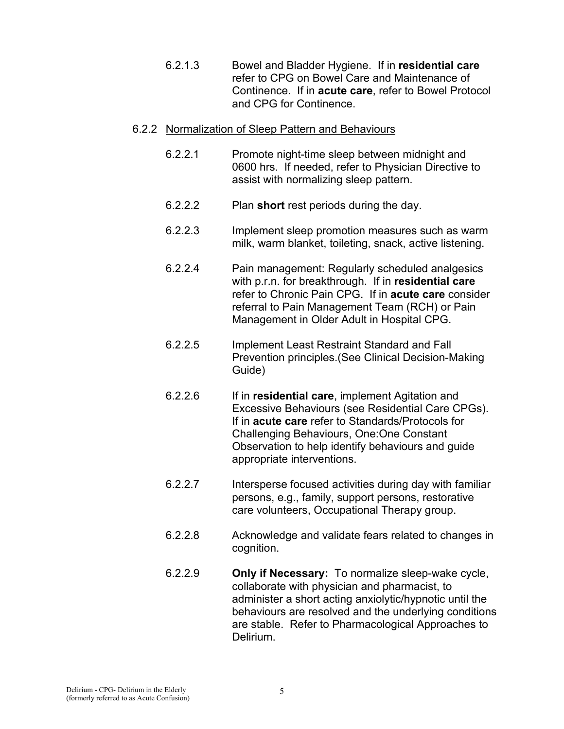6.2.1.3 Bowel and Bladder Hygiene. If in **residential care**  refer to CPG on Bowel Care and Maintenance of Continence. If in **acute care**, refer to Bowel Protocol and CPG for Continence.

#### 6.2.2 Normalization of Sleep Pattern and Behaviours

- 6.2.2.1 Promote night-time sleep between midnight and 0600 hrs. If needed, refer to Physician Directive to assist with normalizing sleep pattern.
- 6.2.2.2 Plan **short** rest periods during the day.
- 6.2.2.3 Implement sleep promotion measures such as warm milk, warm blanket, toileting, snack, active listening.
- 6.2.2.4 Pain management: Regularly scheduled analgesics with p.r.n. for breakthrough. If in **residential care** refer to Chronic Pain CPG. If in **acute care** consider referral to Pain Management Team (RCH) or Pain Management in Older Adult in Hospital CPG.
- 6.2.2.5 Implement Least Restraint Standard and Fall Prevention principles.(See Clinical Decision-Making Guide)
- 6.2.2.6 If in **residential care**, implement Agitation and Excessive Behaviours (see Residential Care CPGs). If in **acute care** refer to Standards/Protocols for Challenging Behaviours, One:One Constant Observation to help identify behaviours and guide appropriate interventions.
- 6.2.2.7 Intersperse focused activities during day with familiar persons, e.g., family, support persons, restorative care volunteers, Occupational Therapy group.
- 6.2.2.8 Acknowledge and validate fears related to changes in cognition.
- 6.2.2.9 **Only if Necessary:** To normalize sleep-wake cycle, collaborate with physician and pharmacist, to administer a short acting anxiolytic/hypnotic until the behaviours are resolved and the underlying conditions are stable. Refer to Pharmacological Approaches to Delirium.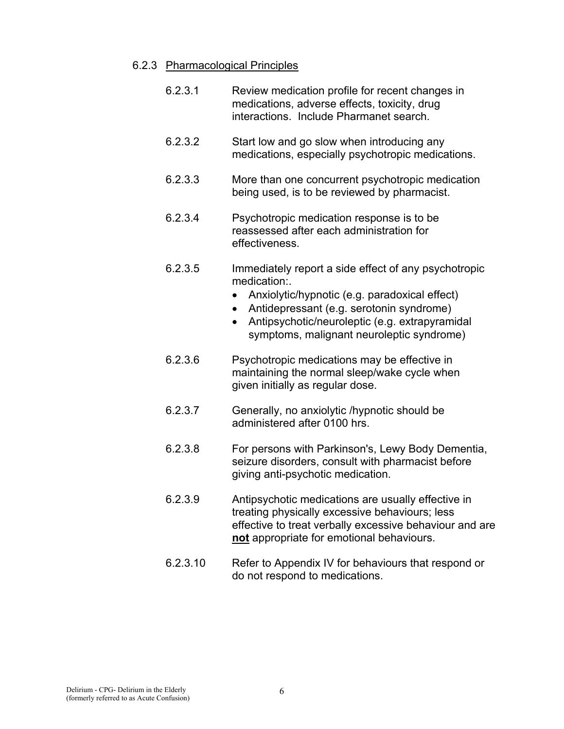#### 6.2.3 Pharmacological Principles

- 6.2.3.1 Review medication profile for recent changes in medications, adverse effects, toxicity, drug interactions. Include Pharmanet search.
- 6.2.3.2 Start low and go slow when introducing any medications, especially psychotropic medications.
- 6.2.3.3 More than one concurrent psychotropic medication being used, is to be reviewed by pharmacist.
- 6.2.3.4 Psychotropic medication response is to be reassessed after each administration for effectiveness.
- 6.2.3.5 Immediately report a side effect of any psychotropic medication:.
	- Anxiolytic/hypnotic (e.g. paradoxical effect)
	- Antidepressant (e.g. serotonin syndrome)
	- Antipsychotic/neuroleptic (e.g. extrapyramidal symptoms, malignant neuroleptic syndrome)
- 6.2.3.6 Psychotropic medications may be effective in maintaining the normal sleep/wake cycle when given initially as regular dose.
- 6.2.3.7 Generally, no anxiolytic /hypnotic should be administered after 0100 hrs.
- 6.2.3.8 For persons with Parkinson's, Lewy Body Dementia, seizure disorders, consult with pharmacist before giving anti-psychotic medication.
- 6.2.3.9 Antipsychotic medications are usually effective in treating physically excessive behaviours; less effective to treat verbally excessive behaviour and are **not** appropriate for emotional behaviours.
- 6.2.3.10 Refer to Appendix IV for behaviours that respond or do not respond to medications.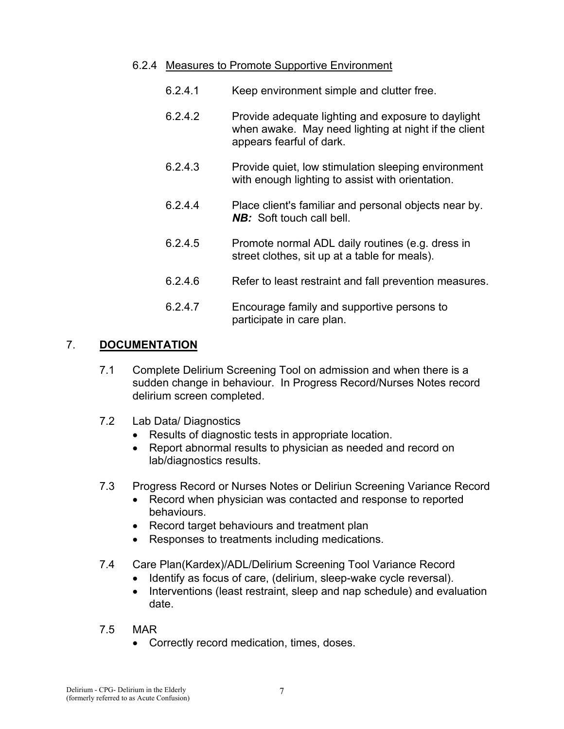#### 6.2.4 Measures to Promote Supportive Environment

- 6.2.4.1 Keep environment simple and clutter free.
- 6.2.4.2 Provide adequate lighting and exposure to daylight when awake. May need lighting at night if the client appears fearful of dark.
- 6.2.4.3 Provide quiet, low stimulation sleeping environment with enough lighting to assist with orientation.
- 6.2.4.4 Place client's familiar and personal objects near by. *NB:* Soft touch call bell.
- 6.2.4.5 Promote normal ADL daily routines (e.g. dress in street clothes, sit up at a table for meals).
- 6.2.4.6 Refer to least restraint and fall prevention measures.
- 6.2.4.7 Encourage family and supportive persons to participate in care plan.

#### 7. **DOCUMENTATION**

- 7.1 Complete Delirium Screening Tool on admission and when there is a sudden change in behaviour. In Progress Record/Nurses Notes record delirium screen completed.
- 7.2 Lab Data/ Diagnostics
	- Results of diagnostic tests in appropriate location.
	- Report abnormal results to physician as needed and record on lab/diagnostics results.
- 7.3 Progress Record or Nurses Notes or Deliriun Screening Variance Record
	- Record when physician was contacted and response to reported behaviours.
	- Record target behaviours and treatment plan
	- Responses to treatments including medications.
- 7.4 Care Plan(Kardex)/ADL/Delirium Screening Tool Variance Record
	- Identify as focus of care, (delirium, sleep-wake cycle reversal).
	- Interventions (least restraint, sleep and nap schedule) and evaluation date.
- 7.5 MAR
	- Correctly record medication, times, doses.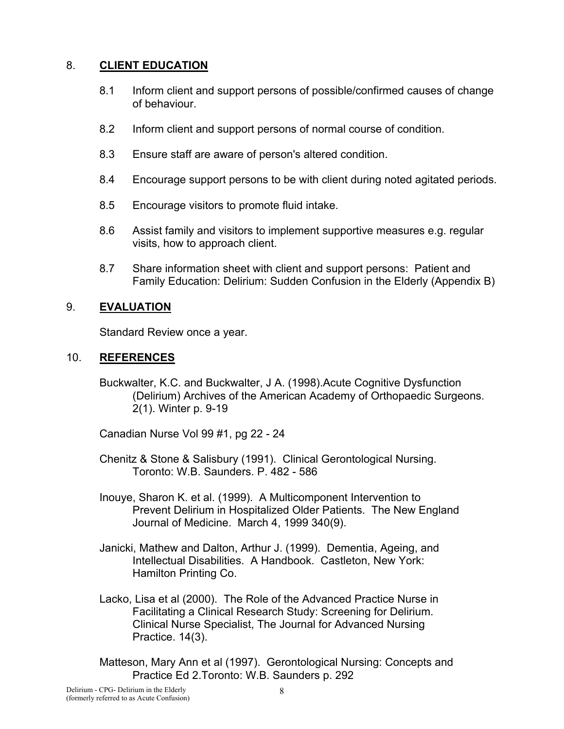## 8. **CLIENT EDUCATION**

- 8.1 Inform client and support persons of possible/confirmed causes of change of behaviour.
- 8.2 Inform client and support persons of normal course of condition.
- 8.3 Ensure staff are aware of person's altered condition.
- 8.4 Encourage support persons to be with client during noted agitated periods.
- 8.5 Encourage visitors to promote fluid intake.
- 8.6 Assist family and visitors to implement supportive measures e.g. regular visits, how to approach client.
- 8.7 Share information sheet with client and support persons: Patient and Family Education: Delirium: Sudden Confusion in the Elderly (Appendix B)

## 9. **EVALUATION**

Standard Review once a year.

#### 10. **REFERENCES**

Buckwalter, K.C. and Buckwalter, J A. (1998).Acute Cognitive Dysfunction (Delirium) Archives of the American Academy of Orthopaedic Surgeons. 2(1). Winter p. 9-19

Canadian Nurse Vol 99 #1, pg 22 - 24

- Chenitz & Stone & Salisbury (1991). Clinical Gerontological Nursing. Toronto: W.B. Saunders. P. 482 - 586
- Inouye, Sharon K. et al. (1999). A Multicomponent Intervention to Prevent Delirium in Hospitalized Older Patients. The New England Journal of Medicine. March 4, 1999 340(9).
- Janicki, Mathew and Dalton, Arthur J. (1999). Dementia, Ageing, and Intellectual Disabilities. A Handbook. Castleton, New York: Hamilton Printing Co.
- Lacko, Lisa et al (2000). The Role of the Advanced Practice Nurse in Facilitating a Clinical Research Study: Screening for Delirium. Clinical Nurse Specialist, The Journal for Advanced Nursing Practice. 14(3).
- Matteson, Mary Ann et al (1997). Gerontological Nursing: Concepts and Practice Ed 2.Toronto: W.B. Saunders p. 292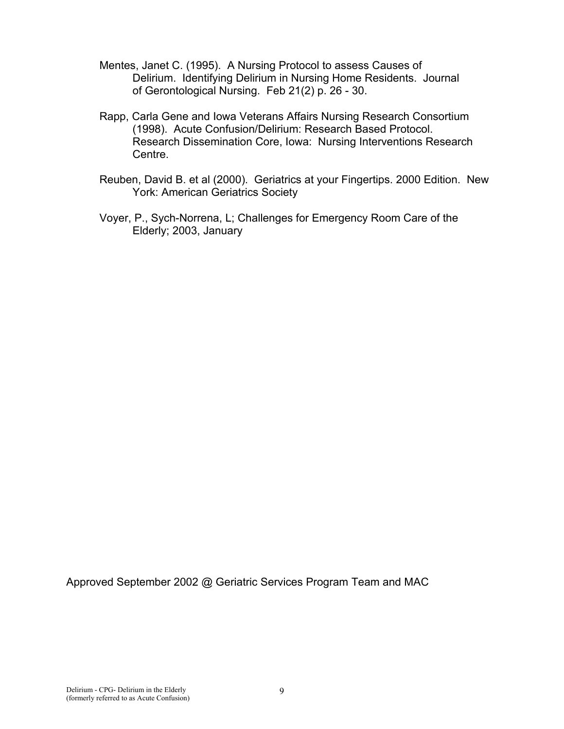- Mentes, Janet C. (1995). A Nursing Protocol to assess Causes of Delirium. Identifying Delirium in Nursing Home Residents. Journal of Gerontological Nursing. Feb 21(2) p. 26 - 30.
- Rapp, Carla Gene and Iowa Veterans Affairs Nursing Research Consortium (1998). Acute Confusion/Delirium: Research Based Protocol. Research Dissemination Core, Iowa: Nursing Interventions Research Centre.
- Reuben, David B. et al (2000). Geriatrics at your Fingertips. 2000 Edition. New York: American Geriatrics Society
- Voyer, P., Sych-Norrena, L; Challenges for Emergency Room Care of the Elderly; 2003, January

Approved September 2002 @ Geriatric Services Program Team and MAC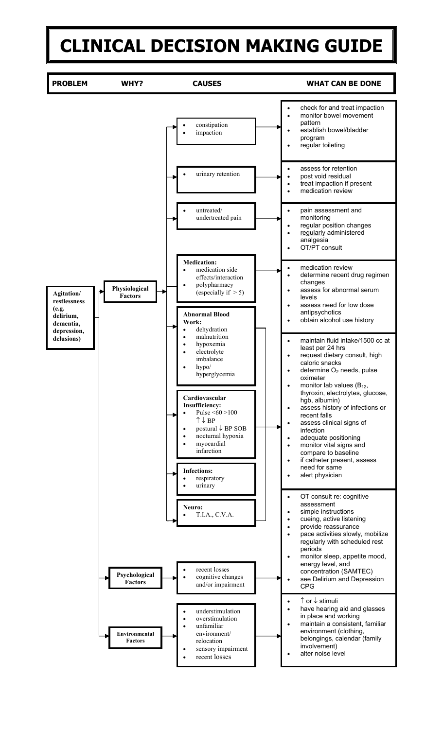# **CLINICAL DECISION MAKING GUIDE**